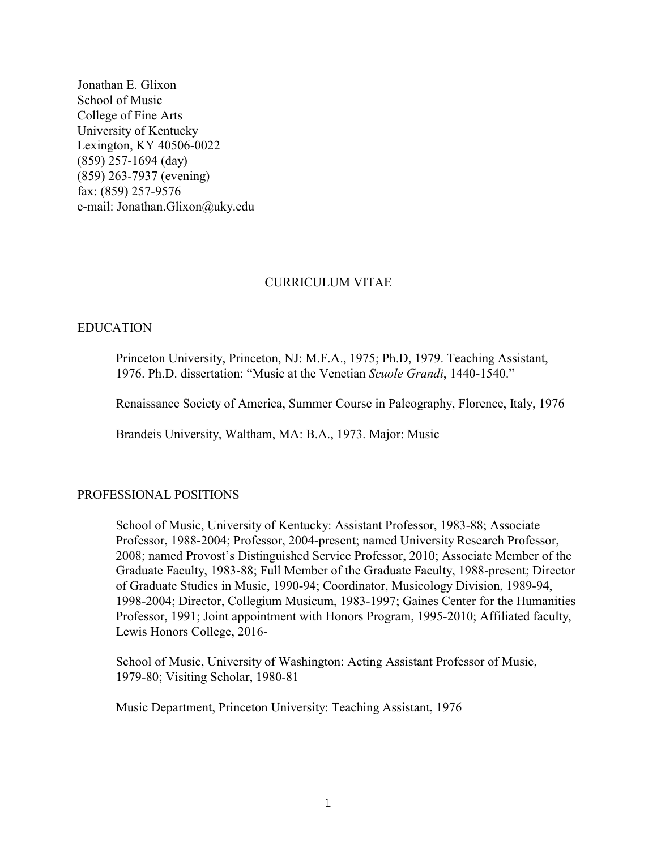Jonathan E. Glixon School of Music College of Fine Arts University of Kentucky Lexington, KY 40506-0022 (859) 257-1694 (day) (859) 263-7937 (evening) fax: (859) 257-9576 e-mail: Jonathan.Glixon@uky.edu

# CURRICULUM VITAE

# EDUCATION

Princeton University, Princeton, NJ: M.F.A., 1975; Ph.D, 1979. Teaching Assistant, 1976. Ph.D. dissertation: "Music at the Venetian *Scuole Grandi*, 1440-1540."

Renaissance Society of America, Summer Course in Paleography, Florence, Italy, 1976

Brandeis University, Waltham, MA: B.A., 1973. Major: Music

# PROFESSIONAL POSITIONS

School of Music, University of Kentucky: Assistant Professor, 1983-88; Associate Professor, 1988-2004; Professor, 2004-present; named University Research Professor, 2008; named Provost's Distinguished Service Professor, 2010; Associate Member of the Graduate Faculty, 1983-88; Full Member of the Graduate Faculty, 1988-present; Director of Graduate Studies in Music, 1990-94; Coordinator, Musicology Division, 1989-94, 1998-2004; Director, Collegium Musicum, 1983-1997; Gaines Center for the Humanities Professor, 1991; Joint appointment with Honors Program, 1995-2010; Affiliated faculty, Lewis Honors College, 2016-

School of Music, University of Washington: Acting Assistant Professor of Music, 1979-80; Visiting Scholar, 1980-81

Music Department, Princeton University: Teaching Assistant, 1976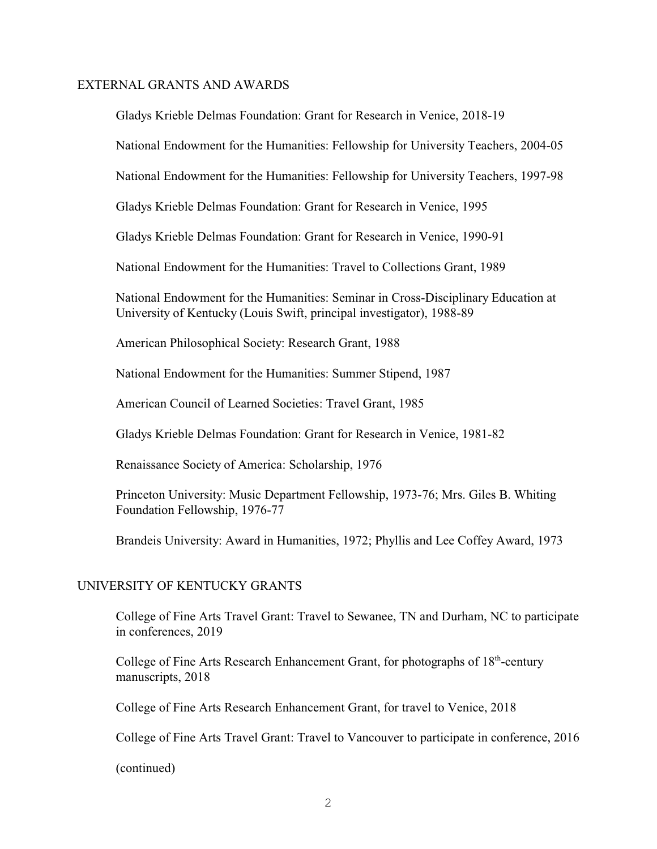#### EXTERNAL GRANTS AND AWARDS

Gladys Krieble Delmas Foundation: Grant for Research in Venice, 2018-19

National Endowment for the Humanities: Fellowship for University Teachers, 2004-05

National Endowment for the Humanities: Fellowship for University Teachers, 1997-98

Gladys Krieble Delmas Foundation: Grant for Research in Venice, 1995

Gladys Krieble Delmas Foundation: Grant for Research in Venice, 1990-91

National Endowment for the Humanities: Travel to Collections Grant, 1989

National Endowment for the Humanities: Seminar in Cross-Disciplinary Education at University of Kentucky (Louis Swift, principal investigator), 1988-89

American Philosophical Society: Research Grant, 1988

National Endowment for the Humanities: Summer Stipend, 1987

American Council of Learned Societies: Travel Grant, 1985

Gladys Krieble Delmas Foundation: Grant for Research in Venice, 1981-82

Renaissance Society of America: Scholarship, 1976

Princeton University: Music Department Fellowship, 1973-76; Mrs. Giles B. Whiting Foundation Fellowship, 1976-77

Brandeis University: Award in Humanities, 1972; Phyllis and Lee Coffey Award, 1973

# UNIVERSITY OF KENTUCKY GRANTS

College of Fine Arts Travel Grant: Travel to Sewanee, TN and Durham, NC to participate in conferences, 2019

College of Fine Arts Research Enhancement Grant, for photographs of 18<sup>th</sup>-century manuscripts, 2018

College of Fine Arts Research Enhancement Grant, for travel to Venice, 2018

College of Fine Arts Travel Grant: Travel to Vancouver to participate in conference, 2016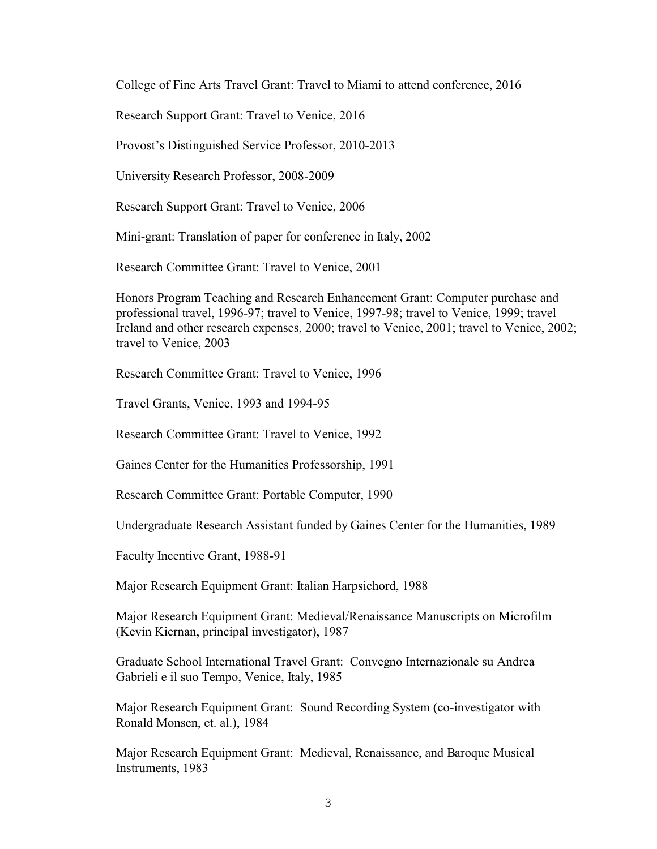College of Fine Arts Travel Grant: Travel to Miami to attend conference, 2016

Research Support Grant: Travel to Venice, 2016

Provost's Distinguished Service Professor, 2010-2013

University Research Professor, 2008-2009

Research Support Grant: Travel to Venice, 2006

Mini-grant: Translation of paper for conference in Italy, 2002

Research Committee Grant: Travel to Venice, 2001

Honors Program Teaching and Research Enhancement Grant: Computer purchase and professional travel, 1996-97; travel to Venice, 1997-98; travel to Venice, 1999; travel Ireland and other research expenses, 2000; travel to Venice, 2001; travel to Venice, 2002; travel to Venice, 2003

Research Committee Grant: Travel to Venice, 1996

Travel Grants, Venice, 1993 and 1994-95

Research Committee Grant: Travel to Venice, 1992

Gaines Center for the Humanities Professorship, 1991

Research Committee Grant: Portable Computer, 1990

Undergraduate Research Assistant funded by Gaines Center for the Humanities, 1989

Faculty Incentive Grant, 1988-91

Major Research Equipment Grant: Italian Harpsichord, 1988

Major Research Equipment Grant: Medieval/Renaissance Manuscripts on Microfilm (Kevin Kiernan, principal investigator), 1987

Graduate School International Travel Grant: Convegno Internazionale su Andrea Gabrieli e il suo Tempo, Venice, Italy, 1985

Major Research Equipment Grant: Sound Recording System (co-investigator with Ronald Monsen, et. al.), 1984

Major Research Equipment Grant: Medieval, Renaissance, and Baroque Musical Instruments, 1983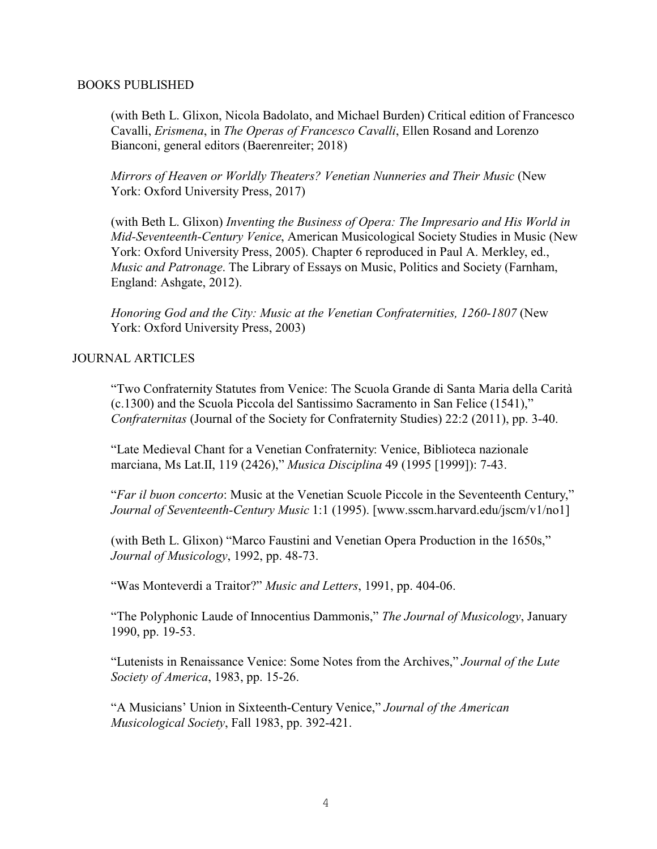#### BOOKS PUBLISHED

(with Beth L. Glixon, Nicola Badolato, and Michael Burden) Critical edition of Francesco Cavalli, *Erismena*, in *The Operas of Francesco Cavalli*, Ellen Rosand and Lorenzo Bianconi, general editors (Baerenreiter; 2018)

*Mirrors of Heaven or Worldly Theaters? Venetian Nunneries and Their Music* (New York: Oxford University Press, 2017)

(with Beth L. Glixon) *Inventing the Business of Opera: The Impresario and His World in Mid-Seventeenth-Century Venice*, American Musicological Society Studies in Music (New York: Oxford University Press, 2005). Chapter 6 reproduced in Paul A. Merkley, ed., *Music and Patronage*. The Library of Essays on Music, Politics and Society (Farnham, England: Ashgate, 2012).

*Honoring God and the City: Music at the Venetian Confraternities, 1260-1807* (New York: Oxford University Press, 2003)

# JOURNAL ARTICLES

"Two Confraternity Statutes from Venice: The Scuola Grande di Santa Maria della Carità (c.1300) and the Scuola Piccola del Santissimo Sacramento in San Felice (1541)," *Confraternitas* (Journal of the Society for Confraternity Studies) 22:2 (2011), pp. 3-40.

"Late Medieval Chant for a Venetian Confraternity: Venice, Biblioteca nazionale marciana, Ms Lat.II, 119 (2426)," *Musica Disciplina* 49 (1995 [1999]): 7-43.

"*Far il buon concerto*: Music at the Venetian Scuole Piccole in the Seventeenth Century," *Journal of Seventeenth-Century Music* 1:1 (1995). [www.sscm.harvard.edu/jscm/v1/no1]

(with Beth L. Glixon) "Marco Faustini and Venetian Opera Production in the 1650s," *Journal of Musicology*, 1992, pp. 48-73.

"Was Monteverdi a Traitor?" *Music and Letters*, 1991, pp. 404-06.

"The Polyphonic Laude of Innocentius Dammonis," *The Journal of Musicology*, January 1990, pp. 19-53.

"Lutenists in Renaissance Venice: Some Notes from the Archives," *Journal of the Lute Society of America*, 1983, pp. 15-26.

"A Musicians' Union in Sixteenth-Century Venice," *Journal of the American Musicological Society*, Fall 1983, pp. 392-421.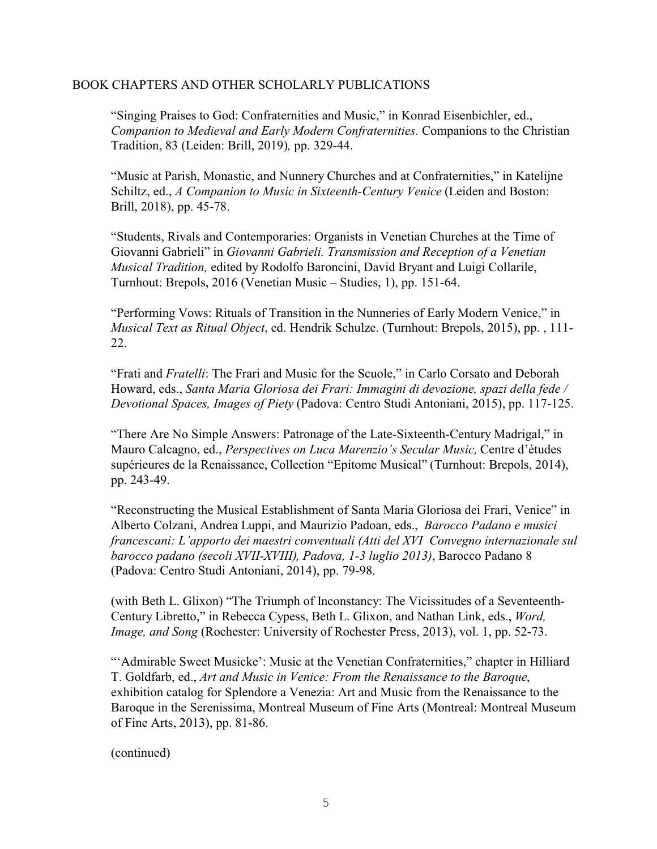# BOOK CHAPTERS AND OTHER SCHOLARLY PUBLICATIONS

"Singing Praises to God: Confraternities and Music," in Konrad Eisenbichler, ed., *Companion to Medieval and Early Modern Confraternities.* Companions to the Christian Tradition, 83 (Leiden: Brill, 2019)*,* pp. 329-44.

"Music at Parish, Monastic, and Nunnery Churches and at Confraternities," in Katelijne Schiltz, ed., *A Companion to Music in Sixteenth-Century Venice* (Leiden and Boston: Brill, 2018), pp. 45-78.

"Students, Rivals and Contemporaries: Organists in Venetian Churches at the Time of Giovanni Gabrieli" in *Giovanni Gabrieli. Transmission and Reception of a Venetian Musical Tradition,* edited by Rodolfo Baroncini, David Bryant and Luigi Collarile, Turnhout: Brepols, 2016 (Venetian Music – Studies, 1), pp. 151-64.

"Performing Vows: Rituals of Transition in the Nunneries of Early Modern Venice," in *Musical Text as Ritual Object*, ed. Hendrik Schulze. (Turnhout: Brepols, 2015), pp. , 111- 22.

"Frati and *Fratelli*: The Frari and Music for the Scuole," in Carlo Corsato and Deborah Howard, eds., *Santa Maria Gloriosa dei Frari: Immagini di devozione, spazi della fede / Devotional Spaces, Images of Piety* (Padova: Centro Studi Antoniani, 2015), pp. 117-125.

"There Are No Simple Answers: Patronage of the Late-Sixteenth-Century Madrigal," in Mauro Calcagno, ed., *Perspectives on Luca Marenzio's Secular Music,* Centre d'études supérieures de la Renaissance, Collection "Epitome Musical" (Turnhout: Brepols, 2014), pp. 243-49.

"Reconstructing the Musical Establishment of Santa Maria Gloriosa dei Frari, Venice" in Alberto Colzani, Andrea Luppi, and Maurizio Padoan, eds., *Barocco Padano e musici francescani: L'apporto dei maestri conventuali (Atti del XVI Convegno internazionale sul barocco padano (secoli XVII-XVIII), Padova, 1-3 luglio 2013)*, Barocco Padano 8 (Padova: Centro Studi Antoniani, 2014), pp. 79-98.

(with Beth L. Glixon) "The Triumph of Inconstancy: The Vicissitudes of a Seventeenth-Century Libretto," in Rebecca Cypess, Beth L. Glixon, and Nathan Link, eds., *Word, Image, and Song (Rochester: University of Rochester Press, 2013), vol. 1, pp. 52-73.* 

"'Admirable Sweet Musicke': Music at the Venetian Confraternities," chapter in Hilliard T. Goldfarb, ed., *Art and Music in Venice: From the Renaissance to the Baroque*, exhibition catalog for Splendore a Venezia: Art and Music from the Renaissance to the Baroque in the Serenissima, Montreal Museum of Fine Arts (Montreal: Montreal Museum of Fine Arts, 2013), pp. 81-86.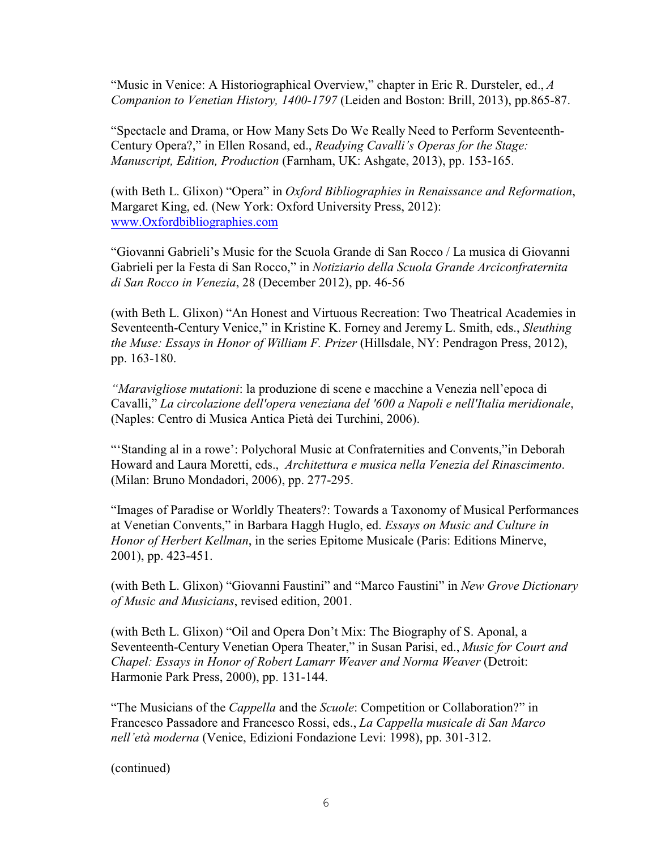"Music in Venice: A Historiographical Overview," chapter in Eric R. Dursteler, ed., *A Companion to Venetian History, 1400-1797* (Leiden and Boston: Brill, 2013), pp.865-87.

"Spectacle and Drama, or How Many Sets Do We Really Need to Perform Seventeenth-Century Opera?," in Ellen Rosand, ed., *Readying Cavalli's Operas for the Stage: Manuscript, Edition, Production* (Farnham, UK: Ashgate, 2013), pp. 153-165.

(with Beth L. Glixon) "Opera" in *Oxford Bibliographies in Renaissance and Reformation*, Margaret King, ed. (New York: Oxford University Press, 2012): [www.Oxfordbibliographies.com](http://www.Oxfordbibliographies.com)

"Giovanni Gabrieli's Music for the Scuola Grande di San Rocco / La musica di Giovanni Gabrieli per la Festa di San Rocco," in *Notiziario della Scuola Grande Arciconfraternita di San Rocco in Venezia*, 28 (December 2012), pp. 46-56

(with Beth L. Glixon) "An Honest and Virtuous Recreation: Two Theatrical Academies in Seventeenth-Century Venice," in Kristine K. Forney and Jeremy L. Smith, eds., *Sleuthing the Muse: Essays in Honor of William F. Prizer* (Hillsdale, NY: Pendragon Press, 2012), pp. 163-180.

*"Maravigliose mutationi*: la produzione di scene e macchine a Venezia nell'epoca di Cavalli," *La circolazione dell'opera veneziana del '600 a Napoli e nell'Italia meridionale*, (Naples: Centro di Musica Antica Pietà dei Turchini, 2006).

"'Standing al in a rowe': Polychoral Music at Confraternities and Convents,"in Deborah Howard and Laura Moretti, eds., *Architettura e musica nella Venezia del Rinascimento*. (Milan: Bruno Mondadori, 2006), pp. 277-295.

"Images of Paradise or Worldly Theaters?: Towards a Taxonomy of Musical Performances at Venetian Convents," in Barbara Haggh Huglo, ed. *Essays on Music and Culture in Honor of Herbert Kellman*, in the series Epitome Musicale (Paris: Editions Minerve, 2001), pp. 423-451.

(with Beth L. Glixon) "Giovanni Faustini" and "Marco Faustini" in *New Grove Dictionary of Music and Musicians*, revised edition, 2001.

(with Beth L. Glixon) "Oil and Opera Don't Mix: The Biography of S. Aponal, a Seventeenth-Century Venetian Opera Theater," in Susan Parisi, ed., *Music for Court and Chapel: Essays in Honor of Robert Lamarr Weaver and Norma Weaver* (Detroit: Harmonie Park Press, 2000), pp. 131-144.

"The Musicians of the *Cappella* and the *Scuole*: Competition or Collaboration?" in Francesco Passadore and Francesco Rossi, eds., *La Cappella musicale di San Marco nell'età moderna* (Venice, Edizioni Fondazione Levi: 1998), pp. 301-312.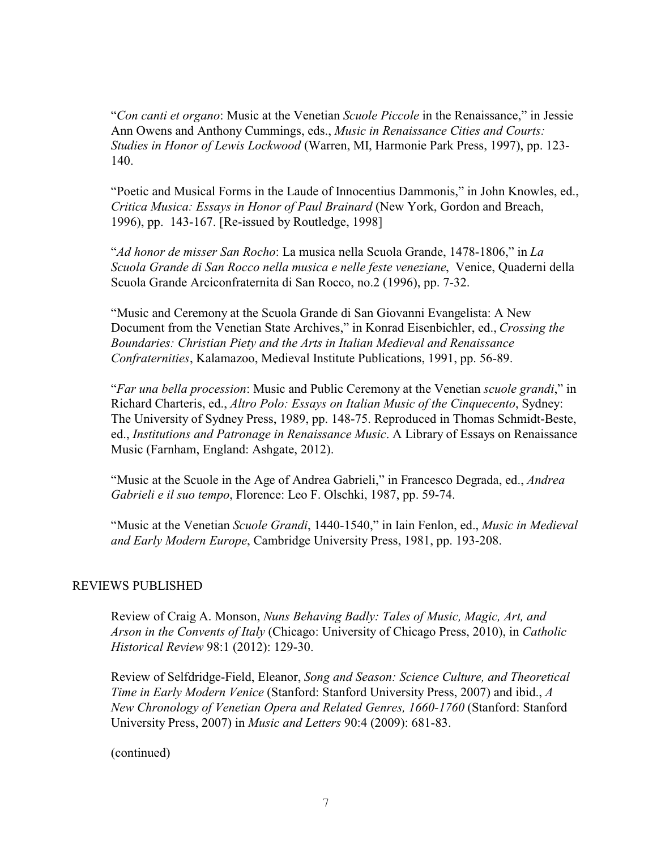"*Con canti et organo*: Music at the Venetian *Scuole Piccole* in the Renaissance," in Jessie Ann Owens and Anthony Cummings, eds., *Music in Renaissance Cities and Courts: Studies in Honor of Lewis Lockwood* (Warren, MI, Harmonie Park Press, 1997), pp. 123- 140.

"Poetic and Musical Forms in the Laude of Innocentius Dammonis," in John Knowles, ed., *Critica Musica: Essays in Honor of Paul Brainard* (New York, Gordon and Breach, 1996), pp. 143-167. [Re-issued by Routledge, 1998]

"*Ad honor de misser San Rocho*: La musica nella Scuola Grande, 1478-1806," in *La Scuola Grande di San Rocco nella musica e nelle feste veneziane*, Venice, Quaderni della Scuola Grande Arciconfraternita di San Rocco, no.2 (1996), pp. 7-32.

"Music and Ceremony at the Scuola Grande di San Giovanni Evangelista: A New Document from the Venetian State Archives," in Konrad Eisenbichler, ed., *Crossing the Boundaries: Christian Piety and the Arts in Italian Medieval and Renaissance Confraternities*, Kalamazoo, Medieval Institute Publications, 1991, pp. 56-89.

"*Far una bella procession*: Music and Public Ceremony at the Venetian *scuole grandi*," in Richard Charteris, ed., *Altro Polo: Essays on Italian Music of the Cinquecento*, Sydney: The University of Sydney Press, 1989, pp. 148-75. Reproduced in Thomas Schmidt-Beste, ed., *Institutions and Patronage in Renaissance Music*. A Library of Essays on Renaissance Music (Farnham, England: Ashgate, 2012).

"Music at the Scuole in the Age of Andrea Gabrieli," in Francesco Degrada, ed., *Andrea Gabrieli e il suo tempo*, Florence: Leo F. Olschki, 1987, pp. 59-74.

"Music at the Venetian *Scuole Grandi*, 1440-1540," in Iain Fenlon, ed., *Music in Medieval and Early Modern Europe*, Cambridge University Press, 1981, pp. 193-208.

# REVIEWS PUBLISHED

Review of Craig A. Monson, *Nuns Behaving Badly: Tales of Music, Magic, Art, and Arson in the Convents of Italy* (Chicago: University of Chicago Press, 2010), in *Catholic Historical Review* 98:1 (2012): 129-30.

Review of Selfdridge-Field, Eleanor, *Song and Season: Science Culture, and Theoretical Time in Early Modern Venice* (Stanford: Stanford University Press, 2007) and ibid., *A New Chronology of Venetian Opera and Related Genres, 1660-1760* (Stanford: Stanford University Press, 2007) in *Music and Letters* 90:4 (2009): 681-83.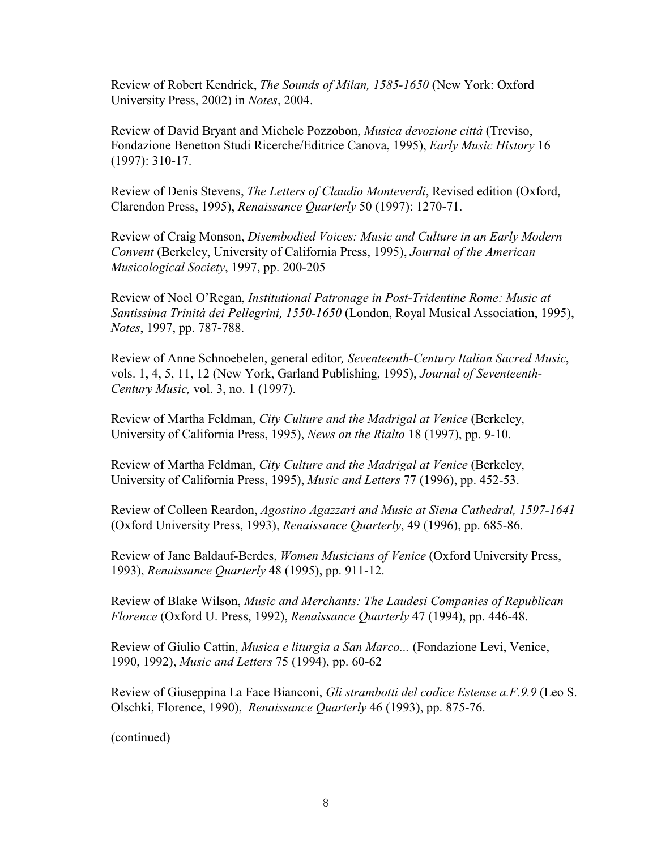Review of Robert Kendrick, *The Sounds of Milan, 1585-1650* (New York: Oxford University Press, 2002) in *Notes*, 2004.

Review of David Bryant and Michele Pozzobon, *Musica devozione città* (Treviso, Fondazione Benetton Studi Ricerche/Editrice Canova, 1995), *Early Music History* 16 (1997): 310-17.

Review of Denis Stevens, *The Letters of Claudio Monteverdi*, Revised edition (Oxford, Clarendon Press, 1995), *Renaissance Quarterly* 50 (1997): 1270-71.

Review of Craig Monson, *Disembodied Voices: Music and Culture in an Early Modern Convent* (Berkeley, University of California Press, 1995), *Journal of the American Musicological Society*, 1997, pp. 200-205

Review of Noel O'Regan, *Institutional Patronage in Post-Tridentine Rome: Music at Santissima Trinità dei Pellegrini, 1550-1650* (London, Royal Musical Association, 1995), *Notes*, 1997, pp. 787-788.

Review of Anne Schnoebelen, general editor*, Seventeenth-Century Italian Sacred Music*, vols. 1, 4, 5, 11, 12 (New York, Garland Publishing, 1995), *Journal of Seventeenth-Century Music,* vol. 3, no. 1 (1997).

Review of Martha Feldman, *City Culture and the Madrigal at Venice* (Berkeley, University of California Press, 1995), *News on the Rialto* 18 (1997), pp. 9-10.

Review of Martha Feldman, *City Culture and the Madrigal at Venice* (Berkeley, University of California Press, 1995), *Music and Letters* 77 (1996), pp. 452-53.

Review of Colleen Reardon, *Agostino Agazzari and Music at Siena Cathedral, 1597-1641* (Oxford University Press, 1993), *Renaissance Quarterly*, 49 (1996), pp. 685-86.

Review of Jane Baldauf-Berdes, *Women Musicians of Venice* (Oxford University Press, 1993), *Renaissance Quarterly* 48 (1995), pp. 911-12.

Review of Blake Wilson, *Music and Merchants: The Laudesi Companies of Republican Florence* (Oxford U. Press, 1992), *Renaissance Quarterly* 47 (1994), pp. 446-48.

Review of Giulio Cattin, *Musica e liturgia a San Marco...* (Fondazione Levi, Venice, 1990, 1992), *Music and Letters* 75 (1994), pp. 60-62

Review of Giuseppina La Face Bianconi, *Gli strambotti del codice Estense a.F.9.9* (Leo S. Olschki, Florence, 1990), *Renaissance Quarterly* 46 (1993), pp. 875-76.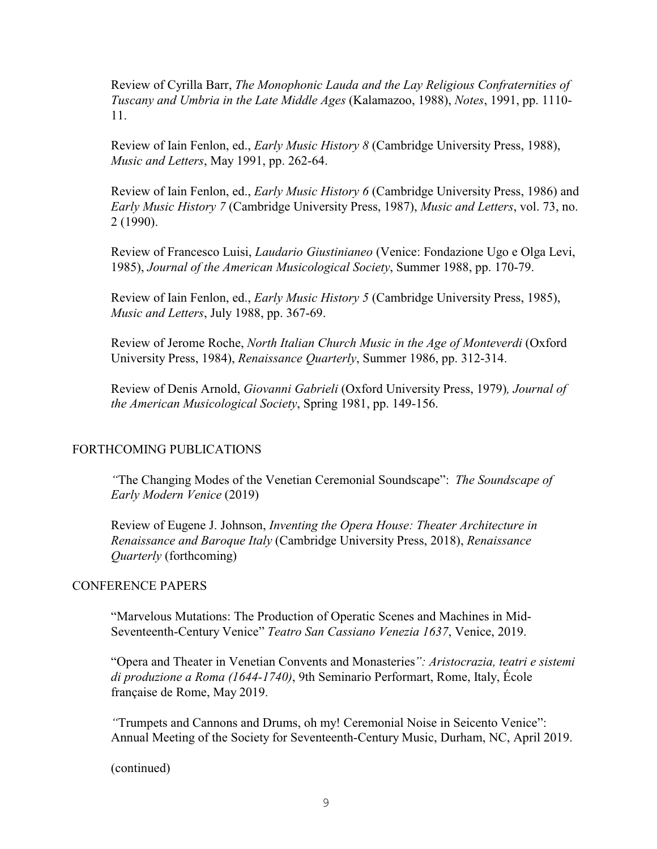Review of Cyrilla Barr, *The Monophonic Lauda and the Lay Religious Confraternities of Tuscany and Umbria in the Late Middle Ages* (Kalamazoo, 1988), *Notes*, 1991, pp. 1110- 11.

Review of Iain Fenlon, ed., *Early Music History 8* (Cambridge University Press, 1988), *Music and Letters*, May 1991, pp. 262-64.

Review of Iain Fenlon, ed., *Early Music History 6* (Cambridge University Press, 1986) and *Early Music History 7* (Cambridge University Press, 1987), *Music and Letters*, vol. 73, no. 2 (1990).

Review of Francesco Luisi, *Laudario Giustinianeo* (Venice: Fondazione Ugo e Olga Levi, 1985), *Journal of the American Musicological Society*, Summer 1988, pp. 170-79.

Review of Iain Fenlon, ed., *Early Music History 5* (Cambridge University Press, 1985), *Music and Letters*, July 1988, pp. 367-69.

Review of Jerome Roche, *North Italian Church Music in the Age of Monteverdi* (Oxford University Press, 1984), *Renaissance Quarterly*, Summer 1986, pp. 312-314.

Review of Denis Arnold, *Giovanni Gabrieli* (Oxford University Press, 1979)*, Journal of the American Musicological Society*, Spring 1981, pp. 149-156.

# FORTHCOMING PUBLICATIONS

*"*The Changing Modes of the Venetian Ceremonial Soundscape": *The Soundscape of Early Modern Venice* (2019)

Review of Eugene J. Johnson, *Inventing the Opera House: Theater Architecture in Renaissance and Baroque Italy* (Cambridge University Press, 2018), *Renaissance Quarterly* (forthcoming)

#### CONFERENCE PAPERS

"Marvelous Mutations: The Production of Operatic Scenes and Machines in Mid-Seventeenth-Century Venice" *Teatro San Cassiano Venezia 1637*, Venice, 2019.

"Opera and Theater in Venetian Convents and Monasteries*": Aristocrazia, teatri e sistemi di produzione a Roma (1644-1740)*, 9th Seminario Performart, Rome, Italy, École française de Rome, May 2019.

*"*Trumpets and Cannons and Drums, oh my! Ceremonial Noise in Seicento Venice": Annual Meeting of the Society for Seventeenth-Century Music, Durham, NC, April 2019.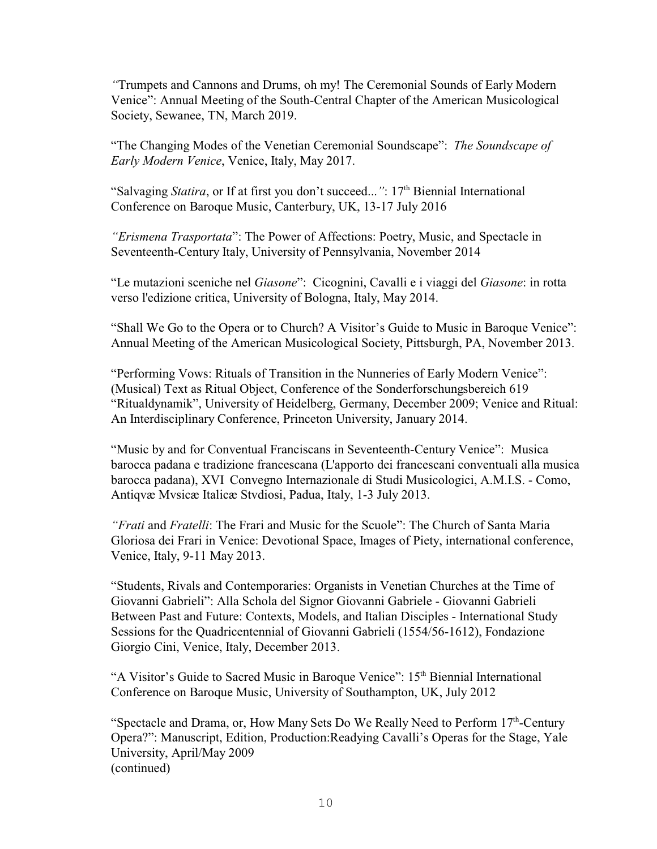*"*Trumpets and Cannons and Drums, oh my! The Ceremonial Sounds of Early Modern Venice": Annual Meeting of the South-Central Chapter of the American Musicological Society, Sewanee, TN, March 2019.

"The Changing Modes of the Venetian Ceremonial Soundscape": *The Soundscape of Early Modern Venice*, Venice, Italy, May 2017.

"Salvaging Statira, or If at first you don't succeed...": 17<sup>th</sup> Biennial International Conference on Baroque Music, Canterbury, UK, 13-17 July 2016

*"Erismena Trasportata*": The Power of Affections: Poetry, Music, and Spectacle in Seventeenth-Century Italy, University of Pennsylvania, November 2014

"Le mutazioni sceniche nel *Giasone*": Cicognini, Cavalli e i viaggi del *Giasone*: in rotta verso l'edizione critica, University of Bologna, Italy, May 2014.

"Shall We Go to the Opera or to Church? A Visitor's Guide to Music in Baroque Venice": Annual Meeting of the American Musicological Society, Pittsburgh, PA, November 2013.

"Performing Vows: Rituals of Transition in the Nunneries of Early Modern Venice": (Musical) Text as Ritual Object, Conference of the Sonderforschungsbereich 619 "Ritualdynamik", University of Heidelberg, Germany, December 2009; Venice and Ritual: An Interdisciplinary Conference, Princeton University, January 2014.

"Music by and for Conventual Franciscans in Seventeenth-Century Venice": Musica barocca padana e tradizione francescana (L'apporto dei francescani conventuali alla musica barocca padana), XVI Convegno Internazionale di Studi Musicologici, A.M.I.S. - Como, Antiqvæ Mvsicæ Italicæ Stvdiosi, Padua, Italy, 1-3 July 2013.

*"Frati* and *Fratelli*: The Frari and Music for the Scuole": The Church of Santa Maria Gloriosa dei Frari in Venice: Devotional Space, Images of Piety, international conference, Venice, Italy, 9-11 May 2013.

"Students, Rivals and Contemporaries: Organists in Venetian Churches at the Time of Giovanni Gabrieli": Alla Schola del Signor Giovanni Gabriele - Giovanni Gabrieli Between Past and Future: Contexts, Models, and Italian Disciples - International Study Sessions for the Quadricentennial of Giovanni Gabrieli (1554/56-1612), Fondazione Giorgio Cini, Venice, Italy, December 2013.

"A Visitor's Guide to Sacred Music in Baroque Venice": 15<sup>th</sup> Biennial International Conference on Baroque Music, University of Southampton, UK, July 2012

"Spectacle and Drama, or, How Many Sets Do We Really Need to Perform  $17<sup>th</sup>$ -Century Opera?": Manuscript, Edition, Production:Readying Cavalli's Operas for the Stage, Yale University, April/May 2009 (continued)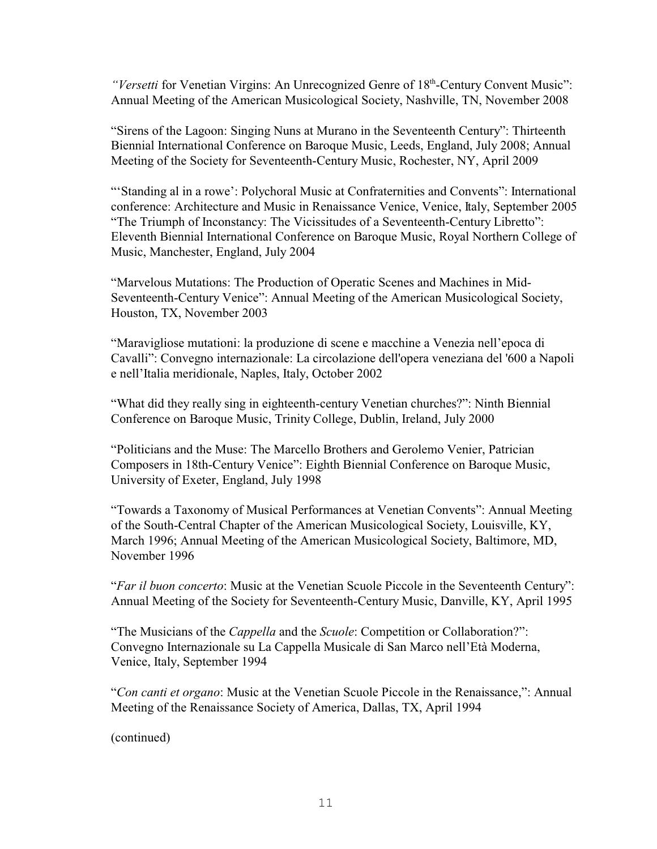*"Versetti* for Venetian Virgins: An Unrecognized Genre of 18<sup>th</sup>-Century Convent Music": Annual Meeting of the American Musicological Society, Nashville, TN, November 2008

"Sirens of the Lagoon: Singing Nuns at Murano in the Seventeenth Century": Thirteenth Biennial International Conference on Baroque Music, Leeds, England, July 2008; Annual Meeting of the Society for Seventeenth-Century Music, Rochester, NY, April 2009

"'Standing al in a rowe': Polychoral Music at Confraternities and Convents": International conference: Architecture and Music in Renaissance Venice, Venice, Italy, September 2005 "The Triumph of Inconstancy: The Vicissitudes of a Seventeenth-Century Libretto": Eleventh Biennial International Conference on Baroque Music, Royal Northern College of Music, Manchester, England, July 2004

"Marvelous Mutations: The Production of Operatic Scenes and Machines in Mid-Seventeenth-Century Venice": Annual Meeting of the American Musicological Society, Houston, TX, November 2003

"Maravigliose mutationi: la produzione di scene e macchine a Venezia nell'epoca di Cavalli": Convegno internazionale: La circolazione dell'opera veneziana del '600 a Napoli e nell'Italia meridionale, Naples, Italy, October 2002

"What did they really sing in eighteenth-century Venetian churches?": Ninth Biennial Conference on Baroque Music, Trinity College, Dublin, Ireland, July 2000

"Politicians and the Muse: The Marcello Brothers and Gerolemo Venier, Patrician Composers in 18th-Century Venice": Eighth Biennial Conference on Baroque Music, University of Exeter, England, July 1998

"Towards a Taxonomy of Musical Performances at Venetian Convents": Annual Meeting of the South-Central Chapter of the American Musicological Society, Louisville, KY, March 1996; Annual Meeting of the American Musicological Society, Baltimore, MD, November 1996

"*Far il buon concerto*: Music at the Venetian Scuole Piccole in the Seventeenth Century": Annual Meeting of the Society for Seventeenth-Century Music, Danville, KY, April 1995

"The Musicians of the *Cappella* and the *Scuole*: Competition or Collaboration?": Convegno Internazionale su La Cappella Musicale di San Marco nell'Età Moderna, Venice, Italy, September 1994

"*Con canti et organo*: Music at the Venetian Scuole Piccole in the Renaissance,": Annual Meeting of the Renaissance Society of America, Dallas, TX, April 1994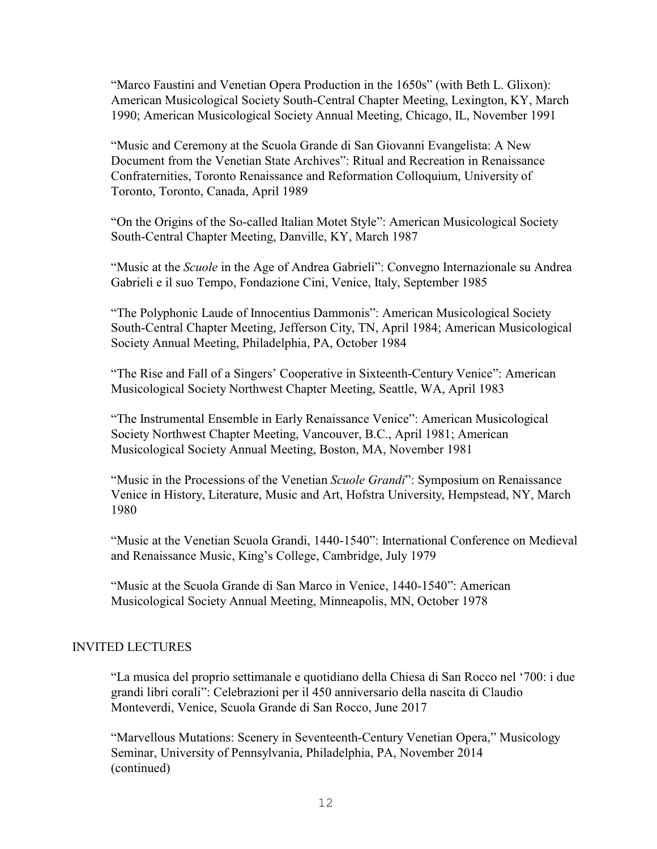"Marco Faustini and Venetian Opera Production in the 1650s" (with Beth L. Glixon): American Musicological Society South-Central Chapter Meeting, Lexington, KY, March 1990; American Musicological Society Annual Meeting, Chicago, IL, November 1991

"Music and Ceremony at the Scuola Grande di San Giovanni Evangelista: A New Document from the Venetian State Archives": Ritual and Recreation in Renaissance Confraternities, Toronto Renaissance and Reformation Colloquium, University of Toronto, Toronto, Canada, April 1989

"On the Origins of the So-called Italian Motet Style": American Musicological Society South-Central Chapter Meeting, Danville, KY, March 1987

"Music at the *Scuole* in the Age of Andrea Gabrieli": Convegno Internazionale su Andrea Gabrieli e il suo Tempo, Fondazione Cini, Venice, Italy, September 1985

"The Polyphonic Laude of Innocentius Dammonis": American Musicological Society South-Central Chapter Meeting, Jefferson City, TN, April 1984; American Musicological Society Annual Meeting, Philadelphia, PA, October 1984

"The Rise and Fall of a Singers' Cooperative in Sixteenth-Century Venice": American Musicological Society Northwest Chapter Meeting, Seattle, WA, April 1983

"The Instrumental Ensemble in Early Renaissance Venice": American Musicological Society Northwest Chapter Meeting, Vancouver, B.C., April 1981; American Musicological Society Annual Meeting, Boston, MA, November 1981

"Music in the Processions of the Venetian *Scuole Grandi*": Symposium on Renaissance Venice in History, Literature, Music and Art, Hofstra University, Hempstead, NY, March 1980

"Music at the Venetian Scuola Grandi, 1440-1540": International Conference on Medieval and Renaissance Music, King's College, Cambridge, July 1979

"Music at the Scuola Grande di San Marco in Venice, 1440-1540": American Musicological Society Annual Meeting, Minneapolis, MN, October 1978

# INVITED LECTURES

"La musica del proprio settimanale e quotidiano della Chiesa di San Rocco nel '700: i due grandi libri corali": Celebrazioni per il 450 anniversario della nascita di Claudio Monteverdi, Venice, Scuola Grande di San Rocco, June 2017

"Marvellous Mutations: Scenery in Seventeenth-Century Venetian Opera," Musicology Seminar, University of Pennsylvania, Philadelphia, PA, November 2014 (continued)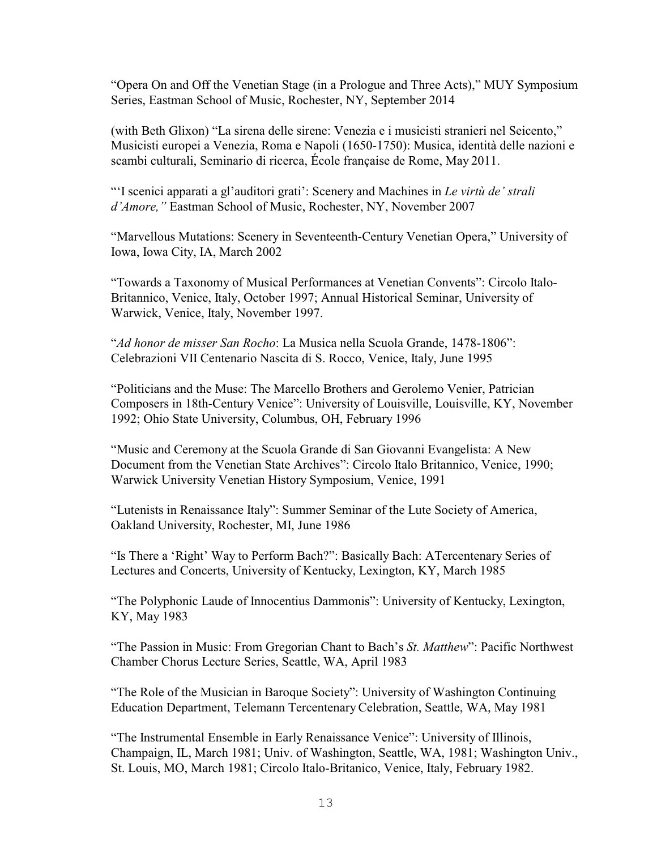"Opera On and Off the Venetian Stage (in a Prologue and Three Acts)," MUY Symposium Series, Eastman School of Music, Rochester, NY, September 2014

(with Beth Glixon) "La sirena delle sirene: Venezia e i musicisti stranieri nel Seicento," Musicisti europei a Venezia, Roma e Napoli (1650-1750): Musica, identità delle nazioni e scambi culturali, Seminario di ricerca, École française de Rome, May 2011.

"'I scenici apparati a gl'auditori grati': Scenery and Machines in *Le virtù de' strali d'Amore,"* Eastman School of Music, Rochester, NY, November 2007

"Marvellous Mutations: Scenery in Seventeenth-Century Venetian Opera," University of Iowa, Iowa City, IA, March 2002

"Towards a Taxonomy of Musical Performances at Venetian Convents": Circolo Italo-Britannico, Venice, Italy, October 1997; Annual Historical Seminar, University of Warwick, Venice, Italy, November 1997.

"*Ad honor de misser San Rocho*: La Musica nella Scuola Grande, 1478-1806": Celebrazioni VII Centenario Nascita di S. Rocco, Venice, Italy, June 1995

"Politicians and the Muse: The Marcello Brothers and Gerolemo Venier, Patrician Composers in 18th-Century Venice": University of Louisville, Louisville, KY, November 1992; Ohio State University, Columbus, OH, February 1996

"Music and Ceremony at the Scuola Grande di San Giovanni Evangelista: A New Document from the Venetian State Archives": Circolo Italo Britannico, Venice, 1990; Warwick University Venetian History Symposium, Venice, 1991

"Lutenists in Renaissance Italy": Summer Seminar of the Lute Society of America, Oakland University, Rochester, MI, June 1986

"Is There a 'Right' Way to Perform Bach?": Basically Bach: ATercentenary Series of Lectures and Concerts, University of Kentucky, Lexington, KY, March 1985

"The Polyphonic Laude of Innocentius Dammonis": University of Kentucky, Lexington, KY, May 1983

"The Passion in Music: From Gregorian Chant to Bach's *St. Matthew*": Pacific Northwest Chamber Chorus Lecture Series, Seattle, WA, April 1983

"The Role of the Musician in Baroque Society": University of Washington Continuing Education Department, Telemann Tercentenary Celebration, Seattle, WA, May 1981

"The Instrumental Ensemble in Early Renaissance Venice": University of Illinois, Champaign, IL, March 1981; Univ. of Washington, Seattle, WA, 1981; Washington Univ., St. Louis, MO, March 1981; Circolo Italo-Britanico, Venice, Italy, February 1982.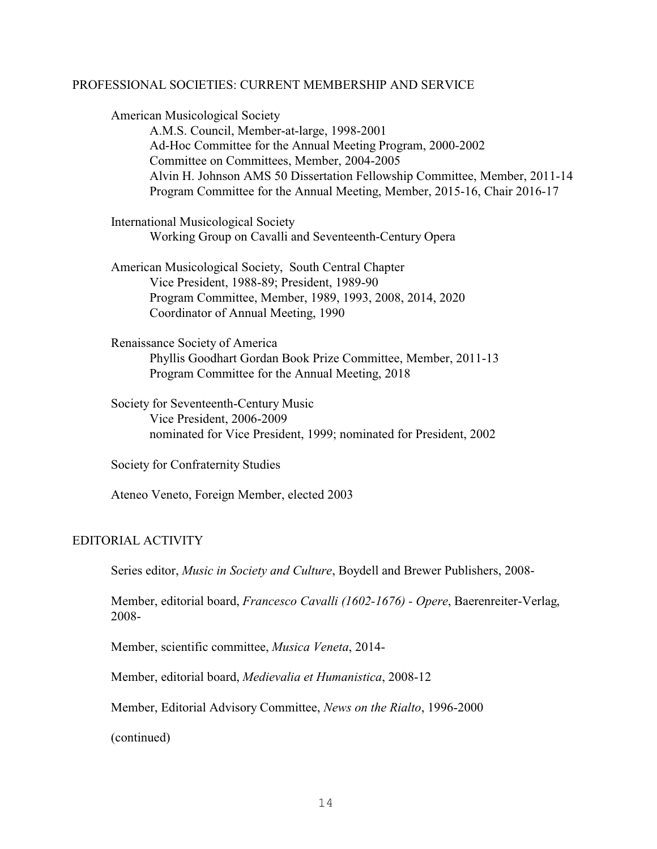#### PROFESSIONAL SOCIETIES: CURRENT MEMBERSHIP AND SERVICE

American Musicological Society A.M.S. Council, Member-at-large, 1998-2001 Ad-Hoc Committee for the Annual Meeting Program, 2000-2002 Committee on Committees, Member, 2004-2005 Alvin H. Johnson AMS 50 Dissertation Fellowship Committee, Member, 2011-14 Program Committee for the Annual Meeting, Member, 2015-16, Chair 2016-17

International Musicological Society Working Group on Cavalli and Seventeenth-Century Opera

American Musicological Society, South Central Chapter Vice President, 1988-89; President, 1989-90 Program Committee, Member, 1989, 1993, 2008, 2014, 2020 Coordinator of Annual Meeting, 1990

Renaissance Society of America Phyllis Goodhart Gordan Book Prize Committee, Member, 2011-13 Program Committee for the Annual Meeting, 2018

Society for Seventeenth-Century Music Vice President, 2006-2009 nominated for Vice President, 1999; nominated for President, 2002

Society for Confraternity Studies

Ateneo Veneto, Foreign Member, elected 2003

### EDITORIAL ACTIVITY

Series editor, *Music in Society and Culture*, Boydell and Brewer Publishers, 2008-

Member, editorial board, *Francesco Cavalli (1602-1676) - Opere*, Baerenreiter-Verlag, 2008-

Member, scientific committee, *Musica Veneta*, 2014-

Member, editorial board, *Medievalia et Humanistica*, 2008-12

Member, Editorial Advisory Committee, *News on the Rialto*, 1996-2000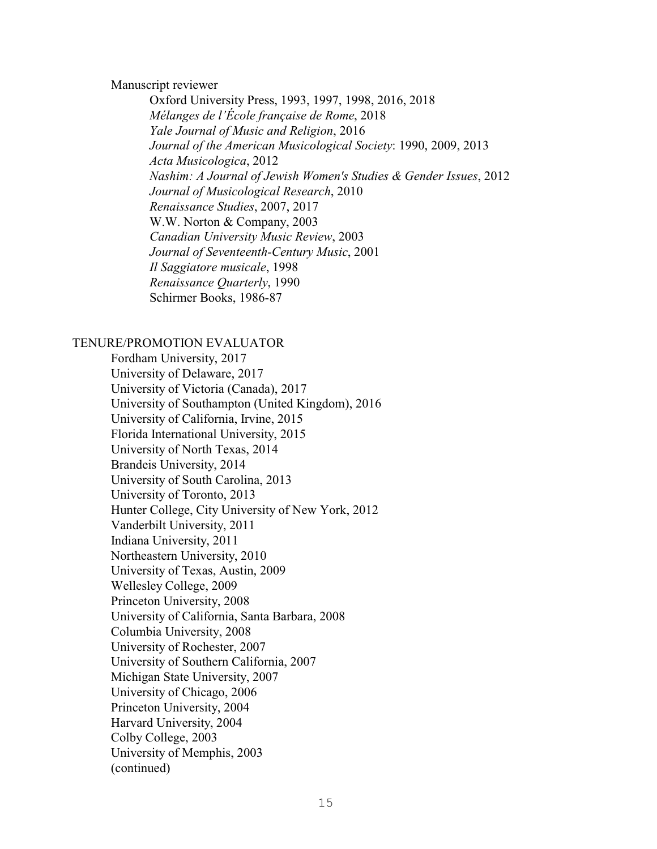#### Manuscript reviewer

Oxford University Press, 1993, 1997, 1998, 2016, 2018 *Mélanges de l'École française de Rome*, 2018 *Yale Journal of Music and Religion*, 2016 *Journal of the American Musicological Society*: 1990, 2009, 2013 *Acta Musicologica*, 2012 *Nashim: A Journal of Jewish Women's Studies & Gender Issues*, 2012 *Journal of Musicological Research*, 2010 *Renaissance Studies*, 2007, 2017 W.W. Norton & Company, 2003 *Canadian University Music Review*, 2003 *Journal of Seventeenth-Century Music*, 2001 *Il Saggiatore musicale*, 1998 *Renaissance Quarterly*, 1990 Schirmer Books, 1986-87

#### TENURE/PROMOTION EVALUATOR

Fordham University, 2017 University of Delaware, 2017 University of Victoria (Canada), 2017 University of Southampton (United Kingdom), 2016 University of California, Irvine, 2015 Florida International University, 2015 University of North Texas, 2014 Brandeis University, 2014 University of South Carolina, 2013 University of Toronto, 2013 Hunter College, City University of New York, 2012 Vanderbilt University, 2011 Indiana University, 2011 Northeastern University, 2010 University of Texas, Austin, 2009 Wellesley College, 2009 Princeton University, 2008 University of California, Santa Barbara, 2008 Columbia University, 2008 University of Rochester, 2007 University of Southern California, 2007 Michigan State University, 2007 University of Chicago, 2006 Princeton University, 2004 Harvard University, 2004 Colby College, 2003 University of Memphis, 2003 (continued)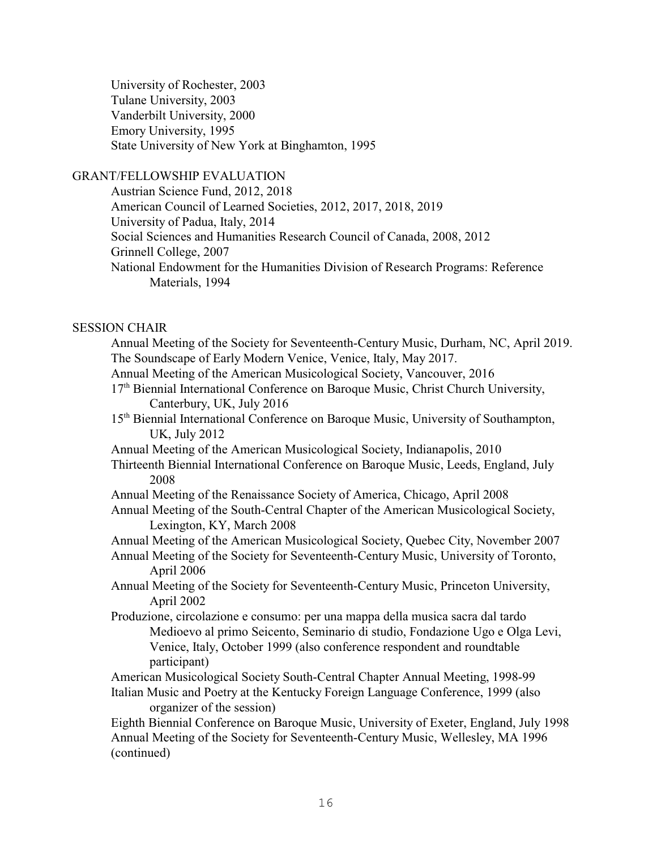University of Rochester, 2003 Tulane University, 2003 Vanderbilt University, 2000 Emory University, 1995 State University of New York at Binghamton, 1995

# GRANT/FELLOWSHIP EVALUATION

Austrian Science Fund, 2012, 2018 American Council of Learned Societies, 2012, 2017, 2018, 2019 University of Padua, Italy, 2014 Social Sciences and Humanities Research Council of Canada, 2008, 2012 Grinnell College, 2007 National Endowment for the Humanities Division of Research Programs: Reference Materials, 1994

# SESSION CHAIR

Annual Meeting of the Society for Seventeenth-Century Music, Durham, NC, April 2019. The Soundscape of Early Modern Venice, Venice, Italy, May 2017. Annual Meeting of the American Musicological Society, Vancouver, 2016 17<sup>th</sup> Biennial International Conference on Baroque Music, Christ Church University, Canterbury, UK, July 2016 15<sup>th</sup> Biennial International Conference on Baroque Music, University of Southampton, UK, July 2012 Annual Meeting of the American Musicological Society, Indianapolis, 2010 Thirteenth Biennial International Conference on Baroque Music, Leeds, England, July 2008 Annual Meeting of the Renaissance Society of America, Chicago, April 2008 Annual Meeting of the South-Central Chapter of the American Musicological Society, Lexington, KY, March 2008 Annual Meeting of the American Musicological Society, Quebec City, November 2007 Annual Meeting of the Society for Seventeenth-Century Music, University of Toronto, April 2006 Annual Meeting of the Society for Seventeenth-Century Music, Princeton University, April 2002 Produzione, circolazione e consumo: per una mappa della musica sacra dal tardo Medioevo al primo Seicento, Seminario di studio, Fondazione Ugo e Olga Levi, Venice, Italy, October 1999 (also conference respondent and roundtable participant) American Musicological Society South-Central Chapter Annual Meeting, 1998-99 Italian Music and Poetry at the Kentucky Foreign Language Conference, 1999 (also organizer of the session) Eighth Biennial Conference on Baroque Music, University of Exeter, England, July 1998 Annual Meeting of the Society for Seventeenth-Century Music, Wellesley, MA 1996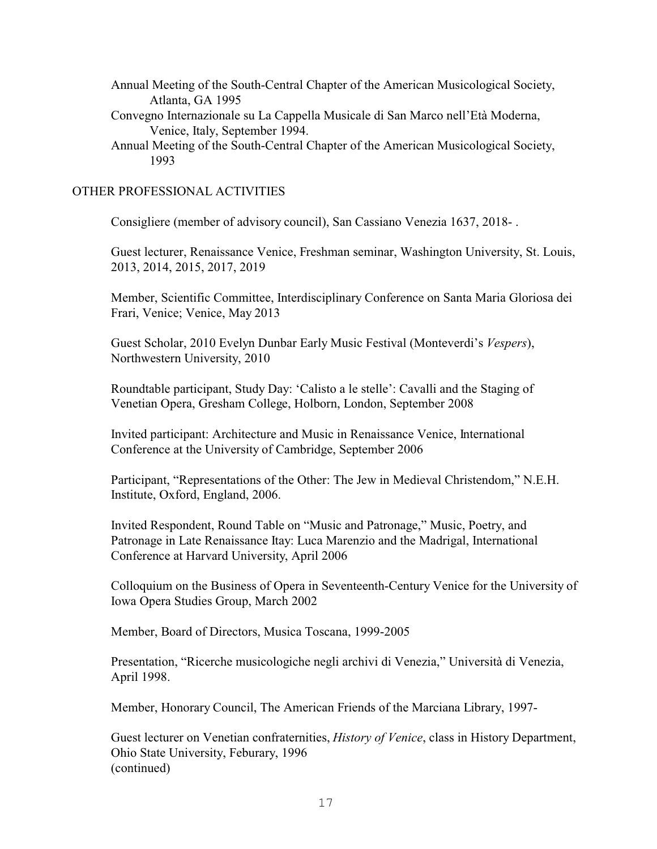- Annual Meeting of the South-Central Chapter of the American Musicological Society, Atlanta, GA 1995
- Convegno Internazionale su La Cappella Musicale di San Marco nell'Età Moderna, Venice, Italy, September 1994.
- Annual Meeting of the South-Central Chapter of the American Musicological Society, 1993

# OTHER PROFESSIONAL ACTIVITIES

Consigliere (member of advisory council), San Cassiano Venezia 1637, 2018- .

Guest lecturer, Renaissance Venice, Freshman seminar, Washington University, St. Louis, 2013, 2014, 2015, 2017, 2019

Member, Scientific Committee, Interdisciplinary Conference on Santa Maria Gloriosa dei Frari, Venice; Venice, May 2013

Guest Scholar, 2010 Evelyn Dunbar Early Music Festival (Monteverdi's *Vespers*), Northwestern University, 2010

Roundtable participant, Study Day: 'Calisto a le stelle': Cavalli and the Staging of Venetian Opera, Gresham College, Holborn, London, September 2008

Invited participant: Architecture and Music in Renaissance Venice, International Conference at the University of Cambridge, September 2006

Participant, "Representations of the Other: The Jew in Medieval Christendom," N.E.H. Institute, Oxford, England, 2006.

Invited Respondent, Round Table on "Music and Patronage," Music, Poetry, and Patronage in Late Renaissance Itay: Luca Marenzio and the Madrigal, International Conference at Harvard University, April 2006

Colloquium on the Business of Opera in Seventeenth-Century Venice for the University of Iowa Opera Studies Group, March 2002

Member, Board of Directors, Musica Toscana, 1999-2005

Presentation, "Ricerche musicologiche negli archivi di Venezia," Università di Venezia, April 1998.

Member, Honorary Council, The American Friends of the Marciana Library, 1997-

Guest lecturer on Venetian confraternities, *History of Venice*, class in History Department, Ohio State University, Feburary, 1996 (continued)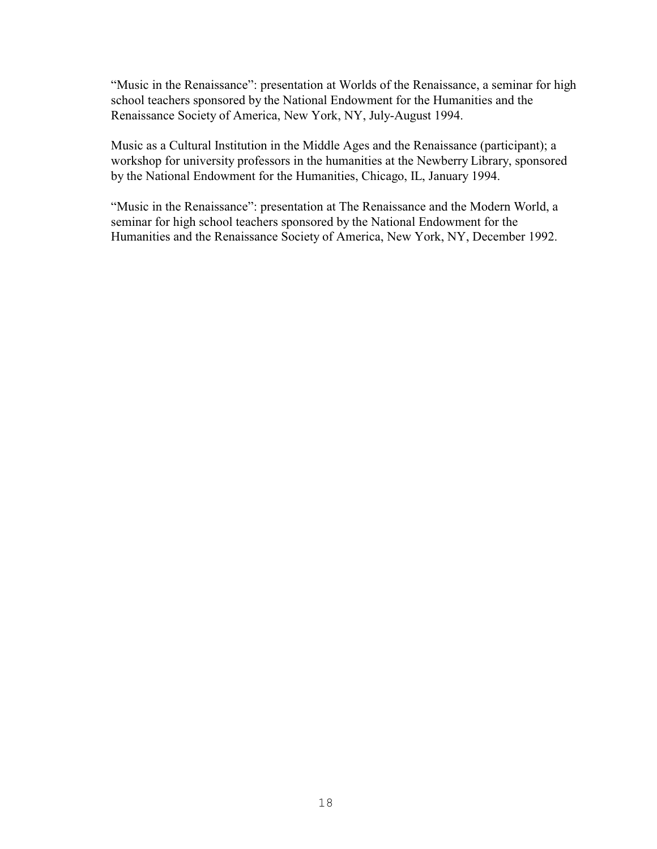"Music in the Renaissance": presentation at Worlds of the Renaissance, a seminar for high school teachers sponsored by the National Endowment for the Humanities and the Renaissance Society of America, New York, NY, July-August 1994.

Music as a Cultural Institution in the Middle Ages and the Renaissance (participant); a workshop for university professors in the humanities at the Newberry Library, sponsored by the National Endowment for the Humanities, Chicago, IL, January 1994.

"Music in the Renaissance": presentation at The Renaissance and the Modern World, a seminar for high school teachers sponsored by the National Endowment for the Humanities and the Renaissance Society of America, New York, NY, December 1992.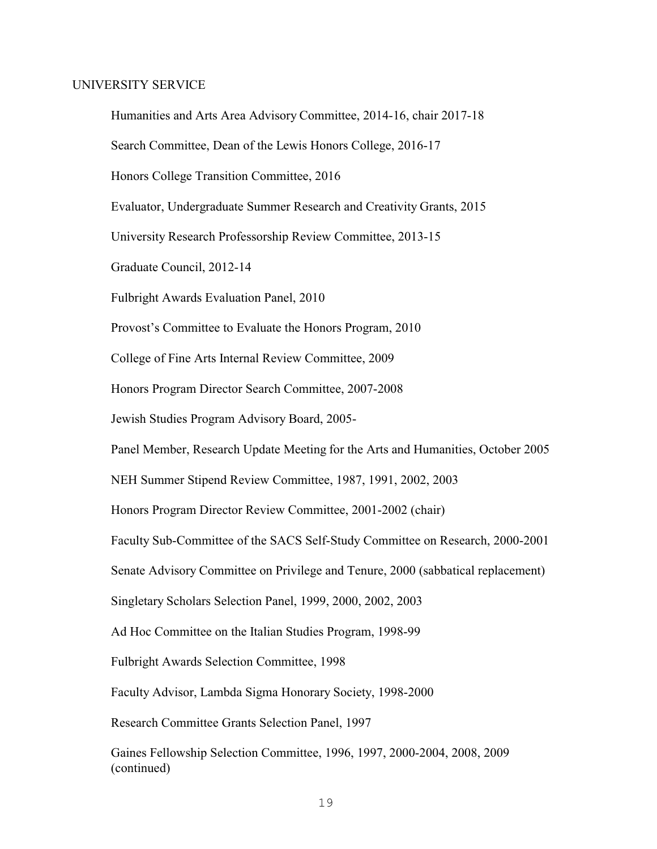#### UNIVERSITY SERVICE

(continued)

Humanities and Arts Area Advisory Committee, 2014-16, chair 2017-18 Search Committee, Dean of the Lewis Honors College, 2016-17 Honors College Transition Committee, 2016 Evaluator, Undergraduate Summer Research and Creativity Grants, 2015 University Research Professorship Review Committee, 2013-15 Graduate Council, 2012-14 Fulbright Awards Evaluation Panel, 2010 Provost's Committee to Evaluate the Honors Program, 2010 College of Fine Arts Internal Review Committee, 2009 Honors Program Director Search Committee, 2007-2008 Jewish Studies Program Advisory Board, 2005- Panel Member, Research Update Meeting for the Arts and Humanities, October 2005 NEH Summer Stipend Review Committee, 1987, 1991, 2002, 2003 Honors Program Director Review Committee, 2001-2002 (chair) Faculty Sub-Committee of the SACS Self-Study Committee on Research, 2000-2001 Senate Advisory Committee on Privilege and Tenure, 2000 (sabbatical replacement) Singletary Scholars Selection Panel, 1999, 2000, 2002, 2003 Ad Hoc Committee on the Italian Studies Program, 1998-99 Fulbright Awards Selection Committee, 1998 Faculty Advisor, Lambda Sigma Honorary Society, 1998-2000 Research Committee Grants Selection Panel, 1997 Gaines Fellowship Selection Committee, 1996, 1997, 2000-2004, 2008, 2009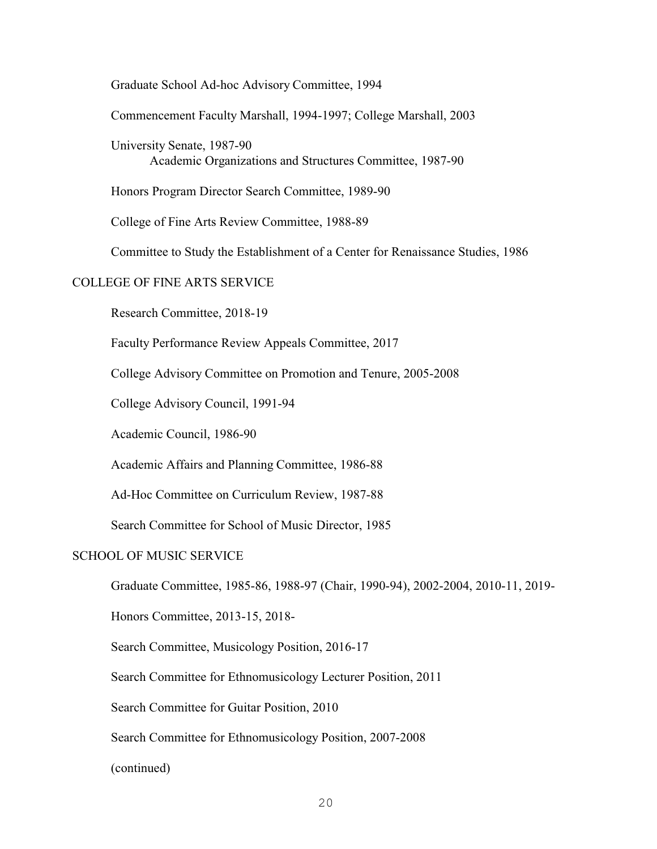Graduate School Ad-hoc Advisory Committee, 1994

Commencement Faculty Marshall, 1994-1997; College Marshall, 2003

University Senate, 1987-90 Academic Organizations and Structures Committee, 1987-90

Honors Program Director Search Committee, 1989-90

College of Fine Arts Review Committee, 1988-89

Committee to Study the Establishment of a Center for Renaissance Studies, 1986

#### COLLEGE OF FINE ARTS SERVICE

Research Committee, 2018-19

Faculty Performance Review Appeals Committee, 2017

College Advisory Committee on Promotion and Tenure, 2005-2008

College Advisory Council, 1991-94

Academic Council, 1986-90

Academic Affairs and Planning Committee, 1986-88

Ad-Hoc Committee on Curriculum Review, 1987-88

Search Committee for School of Music Director, 1985

# SCHOOL OF MUSIC SERVICE

Graduate Committee, 1985-86, 1988-97 (Chair, 1990-94), 2002-2004, 2010-11, 2019-

Honors Committee, 2013-15, 2018-

Search Committee, Musicology Position, 2016-17

Search Committee for Ethnomusicology Lecturer Position, 2011

Search Committee for Guitar Position, 2010

Search Committee for Ethnomusicology Position, 2007-2008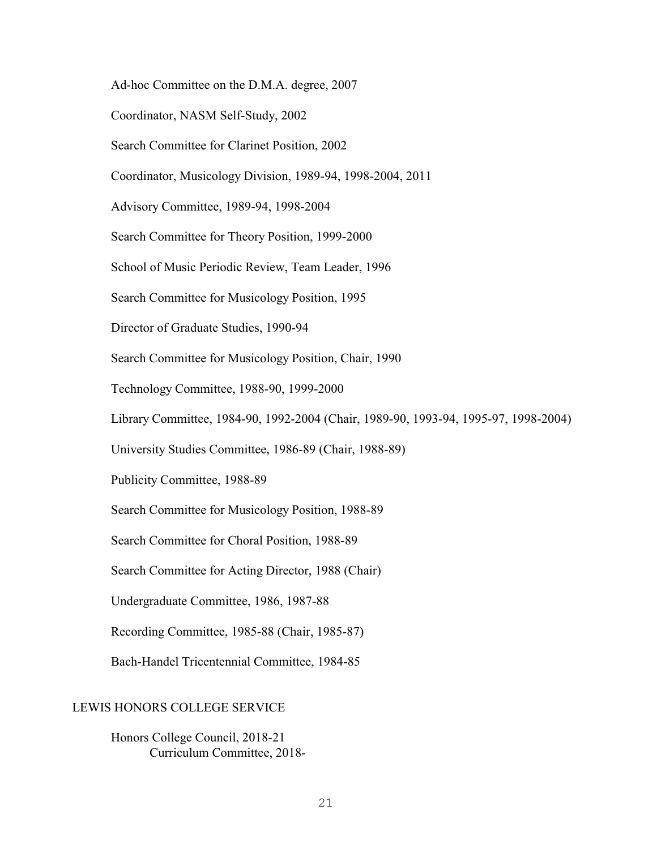Ad-hoc Committee on the D.M.A. degree, 2007

Coordinator, NASM Self-Study, 2002

Search Committee for Clarinet Position, 2002

Coordinator, Musicology Division, 1989-94, 1998-2004, 2011

Advisory Committee, 1989-94, 1998-2004

Search Committee for Theory Position, 1999-2000

School of Music Periodic Review, Team Leader, 1996

Search Committee for Musicology Position, 1995

Director of Graduate Studies, 1990-94

Search Committee for Musicology Position, Chair, 1990

Technology Committee, 1988-90, 1999-2000

Library Committee, 1984-90, 1992-2004 (Chair, 1989-90, 1993-94, 1995-97, 1998-2004)

University Studies Committee, 1986-89 (Chair, 1988-89)

Publicity Committee, 1988-89

Search Committee for Musicology Position, 1988-89

Search Committee for Choral Position, 1988-89

Search Committee for Acting Director, 1988 (Chair)

Undergraduate Committee, 1986, 1987-88

Recording Committee, 1985-88 (Chair, 1985-87)

Bach-Handel Tricentennial Committee, 1984-85

# LEWIS HONORS COLLEGE SERVICE

Honors College Council, 2018-21 Curriculum Committee, 2018-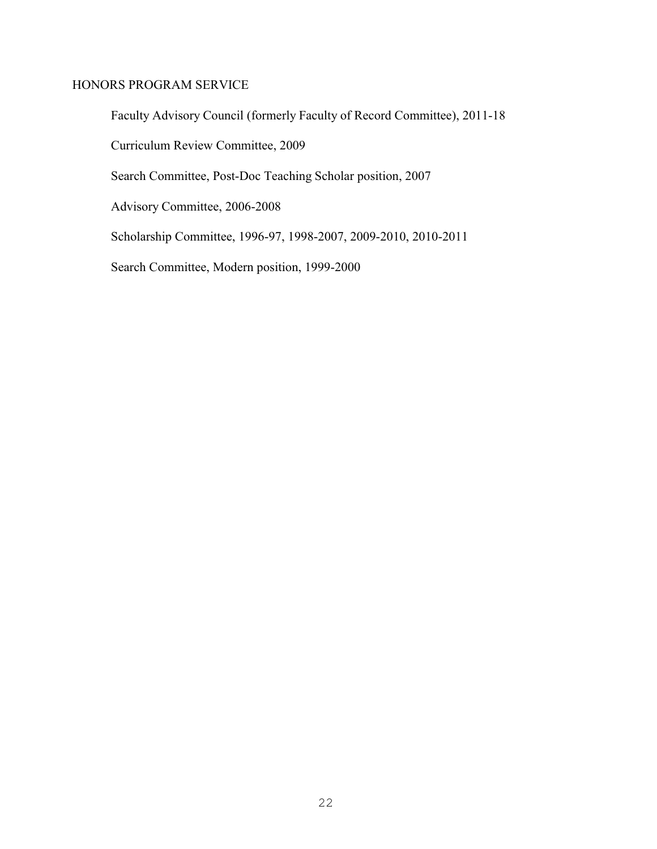# HONORS PROGRAM SERVICE

Faculty Advisory Council (formerly Faculty of Record Committee), 2011-18

Curriculum Review Committee, 2009

Search Committee, Post-Doc Teaching Scholar position, 2007

Advisory Committee, 2006-2008

Scholarship Committee, 1996-97, 1998-2007, 2009-2010, 2010-2011

Search Committee, Modern position, 1999-2000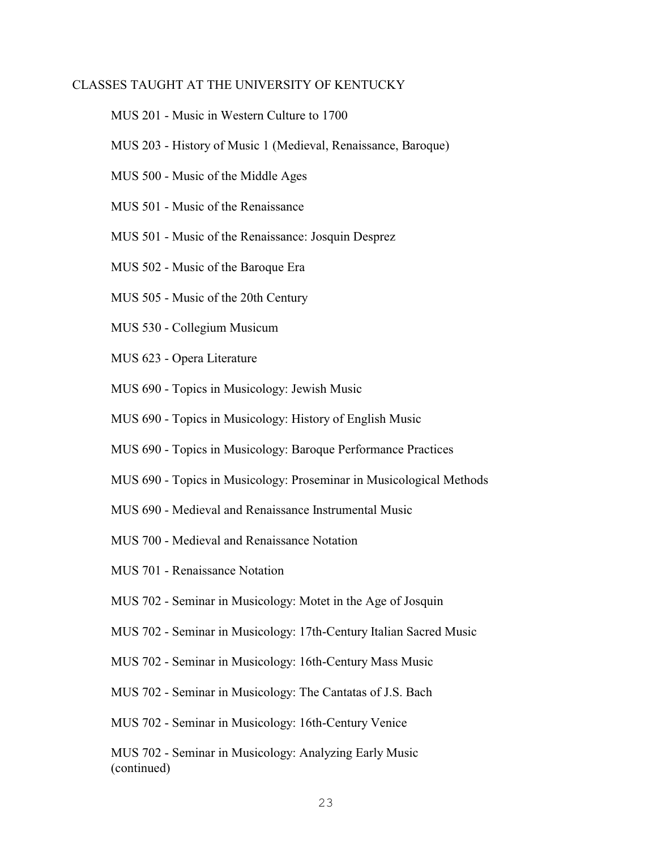# CLASSES TAUGHT AT THE UNIVERSITY OF KENTUCKY

- MUS 201 Music in Western Culture to 1700
- MUS 203 History of Music 1 (Medieval, Renaissance, Baroque)
- MUS 500 Music of the Middle Ages
- MUS 501 Music of the Renaissance
- MUS 501 Music of the Renaissance: Josquin Desprez
- MUS 502 Music of the Baroque Era
- MUS 505 Music of the 20th Century
- MUS 530 Collegium Musicum
- MUS 623 Opera Literature
- MUS 690 Topics in Musicology: Jewish Music
- MUS 690 Topics in Musicology: History of English Music
- MUS 690 Topics in Musicology: Baroque Performance Practices
- MUS 690 Topics in Musicology: Proseminar in Musicological Methods
- MUS 690 Medieval and Renaissance Instrumental Music
- MUS 700 Medieval and Renaissance Notation
- MUS 701 Renaissance Notation
- MUS 702 Seminar in Musicology: Motet in the Age of Josquin
- MUS 702 Seminar in Musicology: 17th-Century Italian Sacred Music
- MUS 702 Seminar in Musicology: 16th-Century Mass Music
- MUS 702 Seminar in Musicology: The Cantatas of J.S. Bach
- MUS 702 Seminar in Musicology: 16th-Century Venice

MUS 702 - Seminar in Musicology: Analyzing Early Music (continued)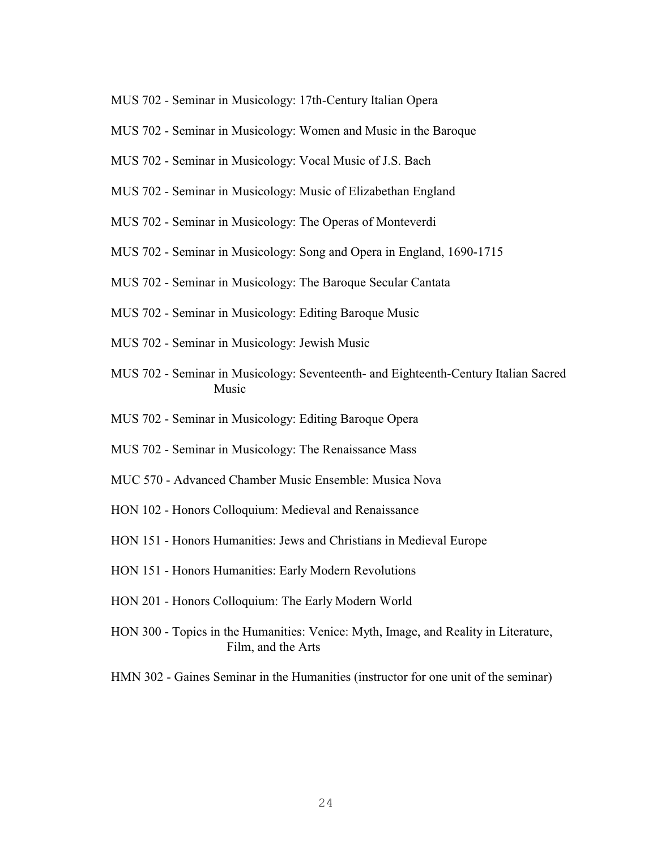- MUS 702 Seminar in Musicology: 17th-Century Italian Opera
- MUS 702 Seminar in Musicology: Women and Music in the Baroque
- MUS 702 Seminar in Musicology: Vocal Music of J.S. Bach
- MUS 702 Seminar in Musicology: Music of Elizabethan England
- MUS 702 Seminar in Musicology: The Operas of Monteverdi
- MUS 702 Seminar in Musicology: Song and Opera in England, 1690-1715
- MUS 702 Seminar in Musicology: The Baroque Secular Cantata
- MUS 702 Seminar in Musicology: Editing Baroque Music
- MUS 702 Seminar in Musicology: Jewish Music
- MUS 702 Seminar in Musicology: Seventeenth- and Eighteenth-Century Italian Sacred Music
- MUS 702 Seminar in Musicology: Editing Baroque Opera
- MUS 702 Seminar in Musicology: The Renaissance Mass
- MUC 570 Advanced Chamber Music Ensemble: Musica Nova
- HON 102 Honors Colloquium: Medieval and Renaissance
- HON 151 Honors Humanities: Jews and Christians in Medieval Europe
- HON 151 Honors Humanities: Early Modern Revolutions
- HON 201 Honors Colloquium: The Early Modern World
- HON 300 Topics in the Humanities: Venice: Myth, Image, and Reality in Literature, Film, and the Arts
- HMN 302 Gaines Seminar in the Humanities (instructor for one unit of the seminar)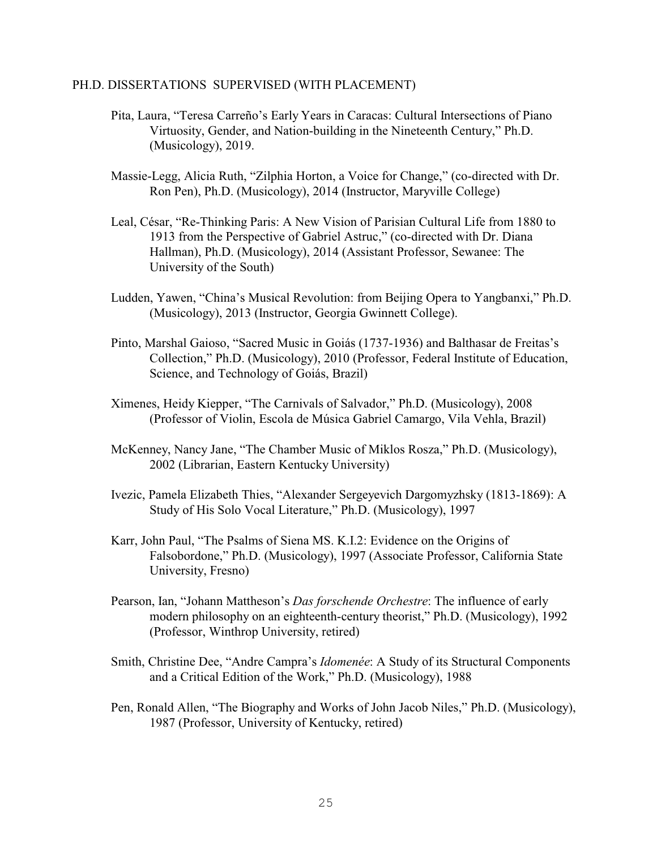#### PH.D. DISSERTATIONS SUPERVISED (WITH PLACEMENT)

- Pita, Laura, "Teresa Carreño's Early Years in Caracas: Cultural Intersections of Piano Virtuosity, Gender, and Nation-building in the Nineteenth Century," Ph.D. (Musicology), 2019.
- Massie-Legg, Alicia Ruth, "Zilphia Horton, a Voice for Change," (co-directed with Dr. Ron Pen), Ph.D. (Musicology), 2014 (Instructor, Maryville College)
- Leal, César, "Re-Thinking Paris: A New Vision of Parisian Cultural Life from 1880 to 1913 from the Perspective of Gabriel Astruc," (co-directed with Dr. Diana Hallman), Ph.D. (Musicology), 2014 (Assistant Professor, Sewanee: The University of the South)
- Ludden, Yawen, "China's Musical Revolution: from Beijing Opera to Yangbanxi," Ph.D. (Musicology), 2013 (Instructor, Georgia Gwinnett College).
- Pinto, Marshal Gaioso, "Sacred Music in Goiás (1737-1936) and Balthasar de Freitas's Collection," Ph.D. (Musicology), 2010 (Professor, Federal Institute of Education, Science, and Technology of Goiás, Brazil)
- Ximenes, Heidy Kiepper, "The Carnivals of Salvador," Ph.D. (Musicology), 2008 (Professor of Violin, Escola de Música Gabriel Camargo, Vila Vehla, Brazil)
- McKenney, Nancy Jane, "The Chamber Music of Miklos Rosza," Ph.D. (Musicology), 2002 (Librarian, Eastern Kentucky University)
- Ivezic, Pamela Elizabeth Thies, "Alexander Sergeyevich Dargomyzhsky (1813-1869): A Study of His Solo Vocal Literature," Ph.D. (Musicology), 1997
- Karr, John Paul, "The Psalms of Siena MS. K.I.2: Evidence on the Origins of Falsobordone," Ph.D. (Musicology), 1997 (Associate Professor, California State University, Fresno)
- Pearson, Ian, "Johann Mattheson's *Das forschende Orchestre*: The influence of early modern philosophy on an eighteenth-century theorist," Ph.D. (Musicology), 1992 (Professor, Winthrop University, retired)
- Smith, Christine Dee, "Andre Campra's *Idomenée*: A Study of its Structural Components and a Critical Edition of the Work," Ph.D. (Musicology), 1988
- Pen, Ronald Allen, "The Biography and Works of John Jacob Niles," Ph.D. (Musicology), 1987 (Professor, University of Kentucky, retired)